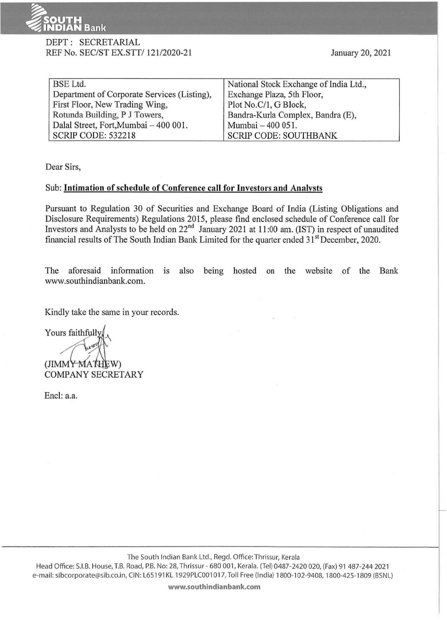

## DEPT: SECRETARIAL REF No. SEC/ST EX.STT/ 121/2020-21

| <b>BSE</b> Ltd.                             | National Stock Exchange of India Ltd., |
|---------------------------------------------|----------------------------------------|
| Department of Corporate Services (Listing), | Exchange Plaza, 5th Floor,             |
| First Floor, New Trading Wing,              | Plot No.C/1, G Block,                  |
| Rotunda Building, P J Towers,               | Bandra-Kurla Complex, Bandra (E),      |
| Dalal Street, Fort, Mumbai - 400 001.       | Mumbai - 400 051.                      |
| SCRIP CODE: 532218                          | <b>SCRIP CODE: SOUTHBANK</b>           |

Dear Sirs,

## Sub: **Intimation of schedule of Conference call for Investors and Analysts**

Pursuant to Regulation 30 of Securities and Exchange Board of India (Listing Obligations and Disclosure Requirements) Regulations 2015, please find enclosed schedule of Conference call for Investors and Analysts to be held on  $22<sup>nd</sup>$  January 2021 at 11:00 am. (IST) in respect of unaudited financial results of The South Indian Bank Limited for the quarter ended  $31<sup>st</sup>$  December, 2020.

The aforesaid information is also being hosted on the website of the Bank www.southindianbank.com.

Kindly take the same in your records.

Yours faithfull (JIMMY MATHEW) COMPANY SECRETARY

Encl: a.a.

The South Indian Bank Ltd., Regd. Office:Thrissur, Kerala

Head Office: S.I.B. House, T.B. Road, P.B. No: 28, Thrissur - 680 001, Kerala. (Tel) 0487-2420 020, (Fax) 91 487-244 2021 e-mail: sibcorporate@sib.co.in, CIN: L65191KL 1929PLC001017, Toll Free (India) 1800-102-9408, 1800-425-1809 (BSNL)

**www.southindianbank.com**